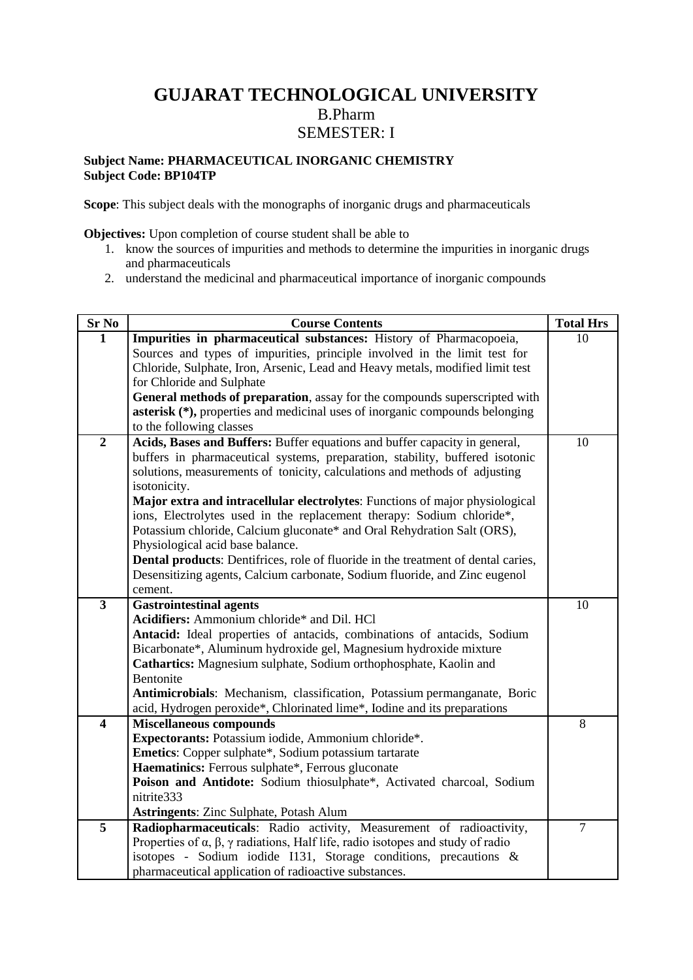# **GUJARAT TECHNOLOGICAL UNIVERSITY** B.Pharm SEMESTER: I

### **Subject Name: PHARMACEUTICAL INORGANIC CHEMISTRY Subject Code: BP104TP**

**Scope**: This subject deals with the monographs of inorganic drugs and pharmaceuticals

**Objectives:** Upon completion of course student shall be able to

- 1. know the sources of impurities and methods to determine the impurities in inorganic drugs and pharmaceuticals
- 2. understand the medicinal and pharmaceutical importance of inorganic compounds

| Sr No                   | <b>Course Contents</b>                                                                                                | <b>Total Hrs</b> |
|-------------------------|-----------------------------------------------------------------------------------------------------------------------|------------------|
| 1                       | Impurities in pharmaceutical substances: History of Pharmacopoeia,                                                    | 10               |
|                         | Sources and types of impurities, principle involved in the limit test for                                             |                  |
|                         | Chloride, Sulphate, Iron, Arsenic, Lead and Heavy metals, modified limit test                                         |                  |
|                         | for Chloride and Sulphate                                                                                             |                  |
|                         | General methods of preparation, assay for the compounds superscripted with                                            |                  |
|                         | <b>asterisk</b> (*), properties and medicinal uses of inorganic compounds belonging                                   |                  |
|                         | to the following classes                                                                                              |                  |
| $\overline{2}$          | Acids, Bases and Buffers: Buffer equations and buffer capacity in general,                                            | 10               |
|                         | buffers in pharmaceutical systems, preparation, stability, buffered isotonic                                          |                  |
|                         | solutions, measurements of tonicity, calculations and methods of adjusting                                            |                  |
|                         | isotonicity.                                                                                                          |                  |
|                         | Major extra and intracellular electrolytes: Functions of major physiological                                          |                  |
|                         | ions, Electrolytes used in the replacement therapy: Sodium chloride*,                                                 |                  |
|                         | Potassium chloride, Calcium gluconate* and Oral Rehydration Salt (ORS),                                               |                  |
|                         | Physiological acid base balance.<br>Dental products: Dentifrices, role of fluoride in the treatment of dental caries, |                  |
|                         | Desensitizing agents, Calcium carbonate, Sodium fluoride, and Zinc eugenol                                            |                  |
|                         | cement.                                                                                                               |                  |
| $\overline{\mathbf{3}}$ | <b>Gastrointestinal agents</b>                                                                                        | 10               |
|                         | Acidifiers: Ammonium chloride* and Dil. HCl                                                                           |                  |
|                         | Antacid: Ideal properties of antacids, combinations of antacids, Sodium                                               |                  |
|                         | Bicarbonate*, Aluminum hydroxide gel, Magnesium hydroxide mixture                                                     |                  |
|                         | Cathartics: Magnesium sulphate, Sodium orthophosphate, Kaolin and                                                     |                  |
|                         | Bentonite                                                                                                             |                  |
|                         | Antimicrobials: Mechanism, classification, Potassium permanganate, Boric                                              |                  |
|                         | acid, Hydrogen peroxide*, Chlorinated lime*, Iodine and its preparations                                              |                  |
| $\overline{\mathbf{4}}$ | <b>Miscellaneous compounds</b>                                                                                        | 8                |
|                         | Expectorants: Potassium iodide, Ammonium chloride*.                                                                   |                  |
|                         | <b>Emetics:</b> Copper sulphate*, Sodium potassium tartarate                                                          |                  |
|                         | Haematinics: Ferrous sulphate*, Ferrous gluconate                                                                     |                  |
|                         | Poison and Antidote: Sodium thiosulphate*, Activated charcoal, Sodium                                                 |                  |
|                         | nitrite333                                                                                                            |                  |
|                         | <b>Astringents: Zinc Sulphate, Potash Alum</b>                                                                        |                  |
| 5                       | Radiopharmaceuticals: Radio activity, Measurement of radioactivity,                                                   | $\tau$           |
|                         | Properties of $\alpha$ , $\beta$ , $\gamma$ radiations, Half life, radio isotopes and study of radio                  |                  |
|                         | isotopes - Sodium iodide I131, Storage conditions, precautions &                                                      |                  |
|                         | pharmaceutical application of radioactive substances.                                                                 |                  |